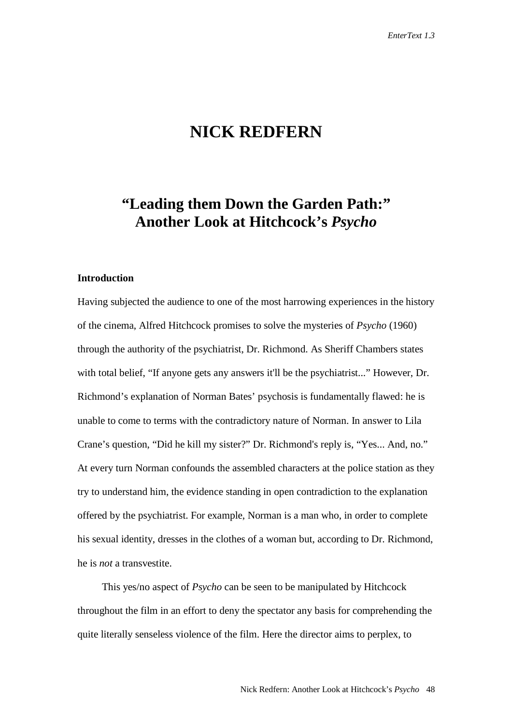# **NICK REDFERN**

## **"Leading them Down the Garden Path:" Another Look at Hitchcock's** *Psycho*

## **Introduction**

Having subjected the audience to one of the most harrowing experiences in the history of the cinema, Alfred Hitchcock promises to solve the mysteries of *Psycho* (1960) through the authority of the psychiatrist, Dr. Richmond. As Sheriff Chambers states with total belief, "If anyone gets any answers it'll be the psychiatrist..." However, Dr. Richmond's explanation of Norman Bates' psychosis is fundamentally flawed: he is unable to come to terms with the contradictory nature of Norman. In answer to Lila Crane's question, "Did he kill my sister?" Dr. Richmond's reply is, "Yes... And, no." At every turn Norman confounds the assembled characters at the police station as they try to understand him, the evidence standing in open contradiction to the explanation offered by the psychiatrist. For example, Norman is a man who, in order to complete his sexual identity, dresses in the clothes of a woman but, according to Dr. Richmond, he is *not* a transvestite.

This yes/no aspect of *Psycho* can be seen to be manipulated by Hitchcock throughout the film in an effort to deny the spectator any basis for comprehending the quite literally senseless violence of the film. Here the director aims to perplex, to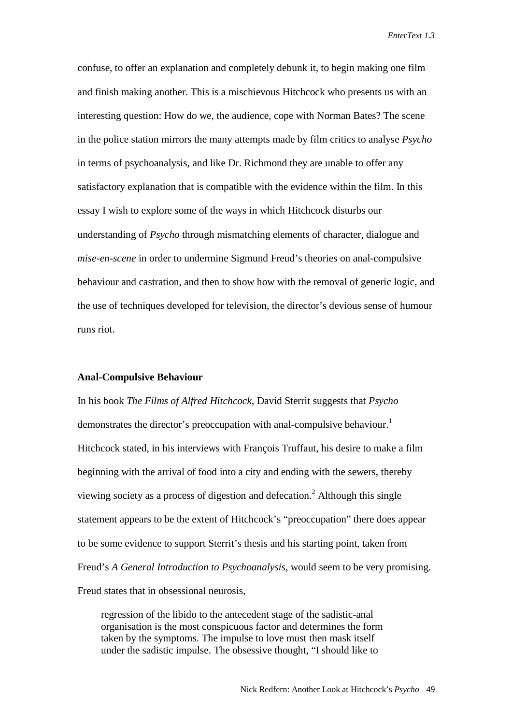confuse, to offer an explanation and completely debunk it, to begin making one film and finish making another. This is a mischievous Hitchcock who presents us with an interesting question: How do we, the audience, cope with Norman Bates? The scene in the police station mirrors the many attempts made by film critics to analyse *Psycho* in terms of psychoanalysis, and like Dr. Richmond they are unable to offer any satisfactory explanation that is compatible with the evidence within the film. In this essay I wish to explore some of the ways in which Hitchcock disturbs our understanding of *Psycho* through mismatching elements of character, dialogue and *mise-en-scene* in order to undermine Sigmund Freud's theories on anal-compulsive behaviour and castration, and then to show how with the removal of generic logic, and the use of techniques developed for television, the director's devious sense of humour runs riot.

#### **Anal-Compulsive Behaviour**

In his book *The Films of Alfred Hitchcock*, David Sterrit suggests that *Psycho* demonstrates the director's preoccupation with anal-compulsive behaviour.<sup>1</sup> Hitchcock stated, in his interviews with François Truffaut, his desire to make a film beginning with the arrival of food into a city and ending with the sewers, thereby viewing society as a process of digestion and defecation.<sup>2</sup> Although this single statement appears to be the extent of Hitchcock's "preoccupation" there does appear to be some evidence to support Sterrit's thesis and his starting point, taken from Freud's *A General Introduction to Psychoanalysis,* would seem to be very promising. Freud states that in obsessional neurosis,

regression of the libido to the antecedent stage of the sadistic-anal organisation is the most conspicuous factor and determines the form taken by the symptoms. The impulse to love must then mask itself under the sadistic impulse. The obsessive thought, "I should like to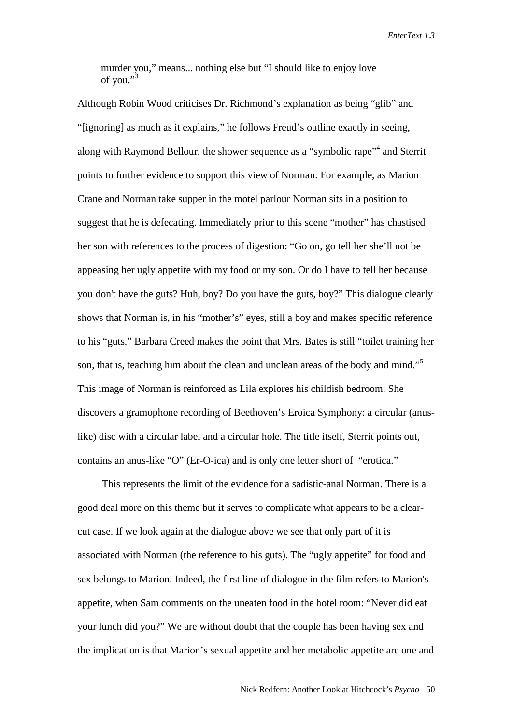murder you," means... nothing else but "I should like to enjoy love of you."<sup>3</sup>

Although Robin Wood criticises Dr. Richmond's explanation as being "glib" and "[ignoring] as much as it explains," he follows Freud's outline exactly in seeing, along with Raymond Bellour, the shower sequence as a "symbolic rape"<sup>4</sup> and Sterrit points to further evidence to support this view of Norman. For example, as Marion Crane and Norman take supper in the motel parlour Norman sits in a position to suggest that he is defecating. Immediately prior to this scene "mother" has chastised her son with references to the process of digestion: "Go on, go tell her she'll not be appeasing her ugly appetite with my food or my son. Or do I have to tell her because you don't have the guts? Huh, boy? Do you have the guts, boy?" This dialogue clearly shows that Norman is, in his "mother's" eyes, still a boy and makes specific reference to his "guts." Barbara Creed makes the point that Mrs. Bates is still "toilet training her son, that is, teaching him about the clean and unclean areas of the body and mind."<sup>5</sup> This image of Norman is reinforced as Lila explores his childish bedroom. She discovers a gramophone recording of Beethoven's Eroica Symphony: a circular (anuslike) disc with a circular label and a circular hole. The title itself, Sterrit points out, contains an anus-like "O" (Er-O-ica) and is only one letter short of "erotica."

This represents the limit of the evidence for a sadistic-anal Norman. There is a good deal more on this theme but it serves to complicate what appears to be a clearcut case. If we look again at the dialogue above we see that only part of it is associated with Norman (the reference to his guts). The "ugly appetite" for food and sex belongs to Marion. Indeed, the first line of dialogue in the film refers to Marion's appetite, when Sam comments on the uneaten food in the hotel room: "Never did eat your lunch did you?" We are without doubt that the couple has been having sex and the implication is that Marion's sexual appetite and her metabolic appetite are one and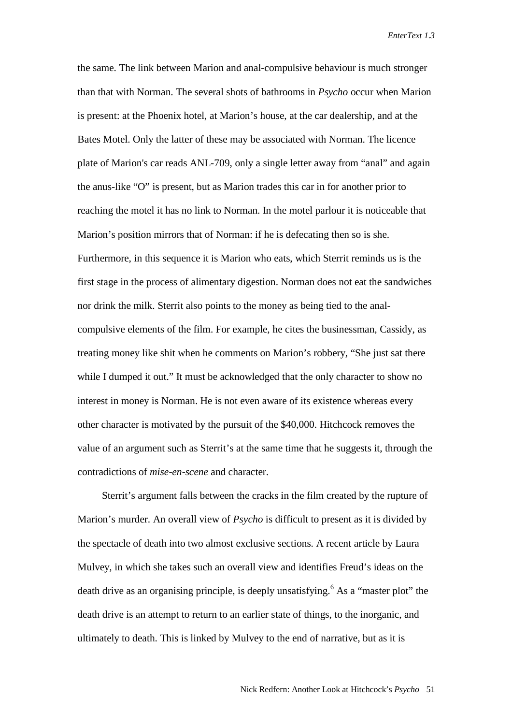the same. The link between Marion and anal-compulsive behaviour is much stronger than that with Norman. The several shots of bathrooms in *Psycho* occur when Marion is present: at the Phoenix hotel, at Marion's house, at the car dealership, and at the Bates Motel. Only the latter of these may be associated with Norman. The licence plate of Marion's car reads ANL-709, only a single letter away from "anal" and again the anus-like "O" is present, but as Marion trades this car in for another prior to reaching the motel it has no link to Norman. In the motel parlour it is noticeable that Marion's position mirrors that of Norman: if he is defecating then so is she. Furthermore, in this sequence it is Marion who eats, which Sterrit reminds us is the first stage in the process of alimentary digestion. Norman does not eat the sandwiches nor drink the milk. Sterrit also points to the money as being tied to the analcompulsive elements of the film. For example, he cites the businessman, Cassidy, as treating money like shit when he comments on Marion's robbery, "She just sat there while I dumped it out." It must be acknowledged that the only character to show no interest in money is Norman. He is not even aware of its existence whereas every other character is motivated by the pursuit of the \$40,000. Hitchcock removes the value of an argument such as Sterrit's at the same time that he suggests it, through the contradictions of *mise-en-scene* and character.

Sterrit's argument falls between the cracks in the film created by the rupture of Marion's murder. An overall view of *Psycho* is difficult to present as it is divided by the spectacle of death into two almost exclusive sections. A recent article by Laura Mulvey, in which she takes such an overall view and identifies Freud's ideas on the death drive as an organising principle, is deeply unsatisfying.<sup>6</sup> As a "master plot" the death drive is an attempt to return to an earlier state of things, to the inorganic, and ultimately to death. This is linked by Mulvey to the end of narrative, but as it is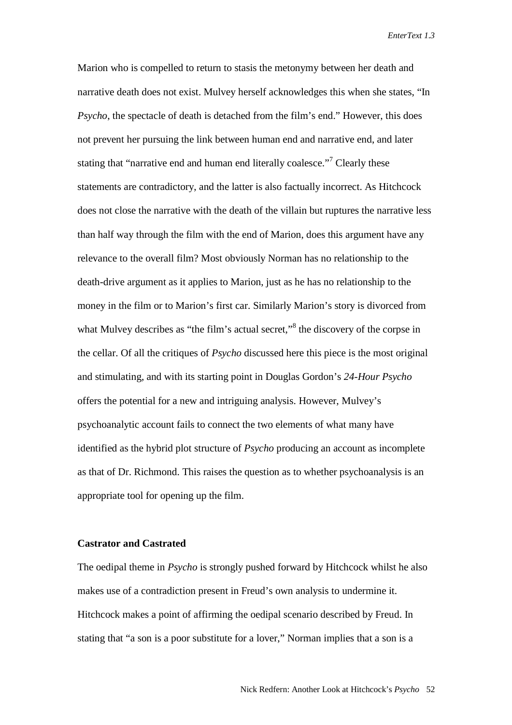Marion who is compelled to return to stasis the metonymy between her death and narrative death does not exist. Mulvey herself acknowledges this when she states, "In *Psycho*, the spectacle of death is detached from the film's end." However, this does not prevent her pursuing the link between human end and narrative end, and later stating that "narrative end and human end literally coalesce."<sup>7</sup> Clearly these statements are contradictory, and the latter is also factually incorrect. As Hitchcock does not close the narrative with the death of the villain but ruptures the narrative less than half way through the film with the end of Marion, does this argument have any relevance to the overall film? Most obviously Norman has no relationship to the death-drive argument as it applies to Marion, just as he has no relationship to the money in the film or to Marion's first car. Similarly Marion's story is divorced from what Mulvey describes as "the film's actual secret,"<sup>8</sup> the discovery of the corpse in the cellar. Of all the critiques of *Psycho* discussed here this piece is the most original and stimulating, and with its starting point in Douglas Gordon's *24-Hour Psycho* offers the potential for a new and intriguing analysis. However, Mulvey's psychoanalytic account fails to connect the two elements of what many have identified as the hybrid plot structure of *Psycho* producing an account as incomplete as that of Dr. Richmond. This raises the question as to whether psychoanalysis is an appropriate tool for opening up the film.

### **Castrator and Castrated**

The oedipal theme in *Psycho* is strongly pushed forward by Hitchcock whilst he also makes use of a contradiction present in Freud's own analysis to undermine it. Hitchcock makes a point of affirming the oedipal scenario described by Freud. In stating that "a son is a poor substitute for a lover," Norman implies that a son is a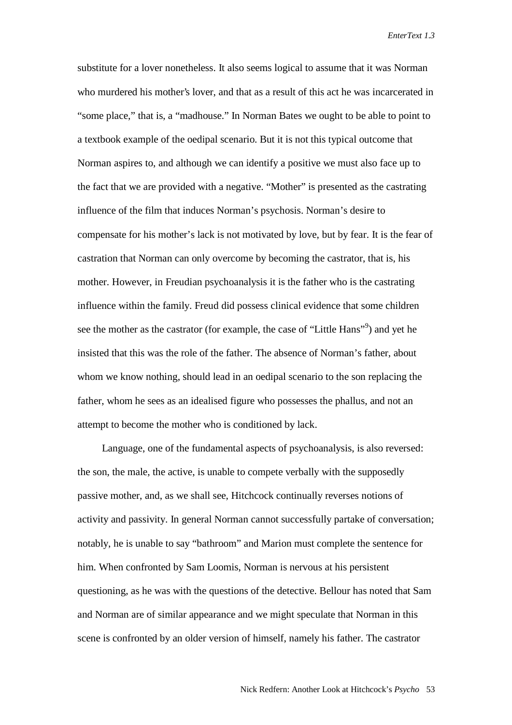substitute for a lover nonetheless. It also seems logical to assume that it was Norman who murdered his mother's lover, and that as a result of this act he was incarcerated in "some place," that is, a "madhouse." In Norman Bates we ought to be able to point to a textbook example of the oedipal scenario. But it is not this typical outcome that Norman aspires to, and although we can identify a positive we must also face up to the fact that we are provided with a negative. "Mother" is presented as the castrating influence of the film that induces Norman's psychosis. Norman's desire to compensate for his mother's lack is not motivated by love, but by fear. It is the fear of castration that Norman can only overcome by becoming the castrator, that is, his mother. However, in Freudian psychoanalysis it is the father who is the castrating influence within the family. Freud did possess clinical evidence that some children see the mother as the castrator (for example, the case of "Little Hans"<sup>9</sup>) and yet he insisted that this was the role of the father. The absence of Norman's father, about whom we know nothing, should lead in an oedipal scenario to the son replacing the father, whom he sees as an idealised figure who possesses the phallus, and not an attempt to become the mother who is conditioned by lack.

Language, one of the fundamental aspects of psychoanalysis, is also reversed: the son, the male, the active, is unable to compete verbally with the supposedly passive mother, and, as we shall see, Hitchcock continually reverses notions of activity and passivity. In general Norman cannot successfully partake of conversation; notably, he is unable to say "bathroom" and Marion must complete the sentence for him. When confronted by Sam Loomis, Norman is nervous at his persistent questioning, as he was with the questions of the detective. Bellour has noted that Sam and Norman are of similar appearance and we might speculate that Norman in this scene is confronted by an older version of himself, namely his father. The castrator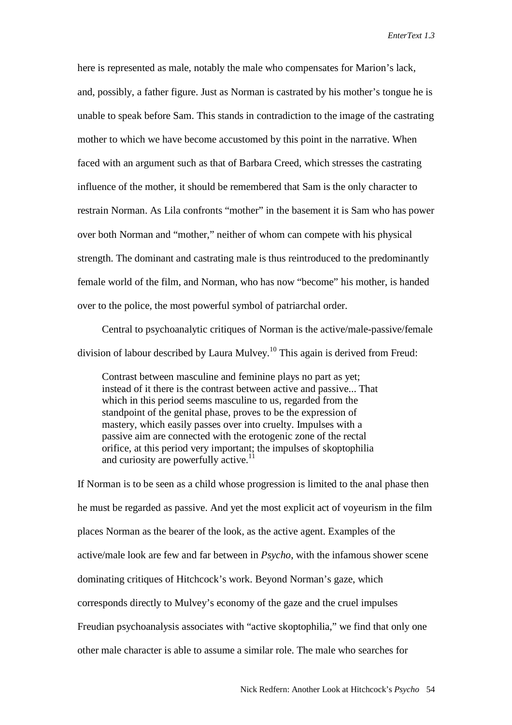here is represented as male, notably the male who compensates for Marion's lack, and, possibly, a father figure. Just as Norman is castrated by his mother's tongue he is unable to speak before Sam. This stands in contradiction to the image of the castrating mother to which we have become accustomed by this point in the narrative. When faced with an argument such as that of Barbara Creed, which stresses the castrating influence of the mother, it should be remembered that Sam is the only character to restrain Norman. As Lila confronts "mother" in the basement it is Sam who has power over both Norman and "mother," neither of whom can compete with his physical strength. The dominant and castrating male is thus reintroduced to the predominantly female world of the film, and Norman, who has now "become" his mother, is handed over to the police, the most powerful symbol of patriarchal order.

Central to psychoanalytic critiques of Norman is the active/male-passive/female division of labour described by Laura Mulvey.10 This again is derived from Freud:

Contrast between masculine and feminine plays no part as yet; instead of it there is the contrast between active and passive... That which in this period seems masculine to us, regarded from the standpoint of the genital phase, proves to be the expression of mastery, which easily passes over into cruelty. Impulses with a passive aim are connected with the erotogenic zone of the rectal orifice, at this period very important; the impulses of skoptophilia and curiosity are powerfully active.<sup>1</sup>

If Norman is to be seen as a child whose progression is limited to the anal phase then he must be regarded as passive. And yet the most explicit act of voyeurism in the film places Norman as the bearer of the look, as the active agent. Examples of the active/male look are few and far between in *Psycho*, with the infamous shower scene dominating critiques of Hitchcock's work. Beyond Norman's gaze, which corresponds directly to Mulvey's economy of the gaze and the cruel impulses Freudian psychoanalysis associates with "active skoptophilia," we find that only one other male character is able to assume a similar role. The male who searches for

Nick Redfern: Another Look at Hitchcock's *Psycho* 54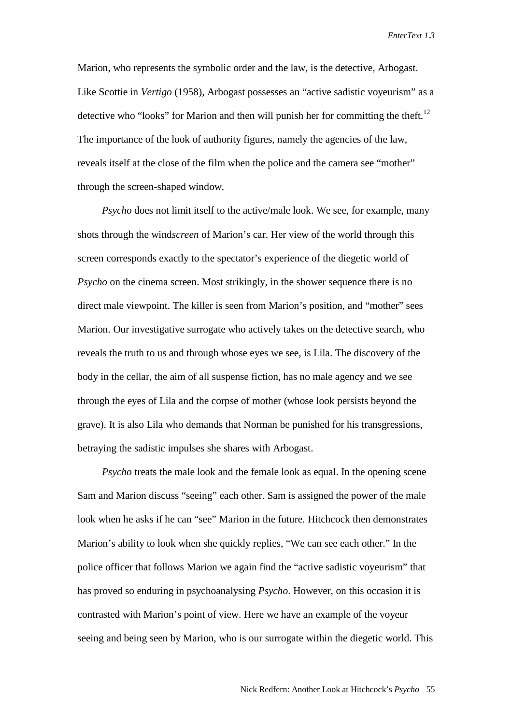Marion, who represents the symbolic order and the law, is the detective, Arbogast. Like Scottie in *Vertigo* (1958), Arbogast possesses an "active sadistic voyeurism" as a detective who "looks" for Marion and then will punish her for committing the theft.<sup>12</sup> The importance of the look of authority figures, namely the agencies of the law, reveals itself at the close of the film when the police and the camera see "mother" through the screen-shaped window.

*Psycho* does not limit itself to the active/male look. We see, for example, many shots through the wind*screen* of Marion's car. Her view of the world through this screen corresponds exactly to the spectator's experience of the diegetic world of *Psycho* on the cinema screen. Most strikingly, in the shower sequence there is no direct male viewpoint. The killer is seen from Marion's position, and "mother" sees Marion. Our investigative surrogate who actively takes on the detective search, who reveals the truth to us and through whose eyes we see, is Lila. The discovery of the body in the cellar, the aim of all suspense fiction, has no male agency and we see through the eyes of Lila and the corpse of mother (whose look persists beyond the grave). It is also Lila who demands that Norman be punished for his transgressions, betraying the sadistic impulses she shares with Arbogast.

*Psycho* treats the male look and the female look as equal. In the opening scene Sam and Marion discuss "seeing" each other. Sam is assigned the power of the male look when he asks if he can "see" Marion in the future. Hitchcock then demonstrates Marion's ability to look when she quickly replies, "We can see each other." In the police officer that follows Marion we again find the "active sadistic voyeurism" that has proved so enduring in psychoanalysing *Psycho*. However, on this occasion it is contrasted with Marion's point of view. Here we have an example of the voyeur seeing and being seen by Marion, who is our surrogate within the diegetic world. This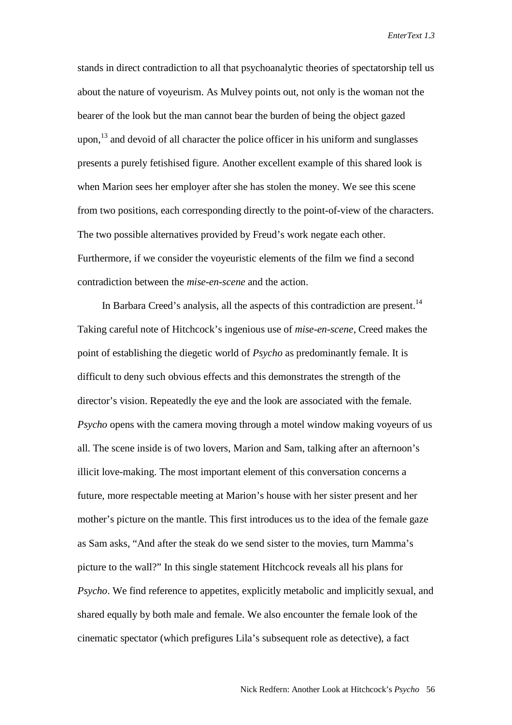stands in direct contradiction to all that psychoanalytic theories of spectatorship tell us about the nature of voyeurism. As Mulvey points out, not only is the woman not the bearer of the look but the man cannot bear the burden of being the object gazed upon,<sup>13</sup> and devoid of all character the police officer in his uniform and sunglasses presents a purely fetishised figure. Another excellent example of this shared look is when Marion sees her employer after she has stolen the money. We see this scene from two positions, each corresponding directly to the point-of-view of the characters. The two possible alternatives provided by Freud's work negate each other. Furthermore, if we consider the voyeuristic elements of the film we find a second contradiction between the *mise-en-scene* and the action.

In Barbara Creed's analysis, all the aspects of this contradiction are present.<sup>14</sup> Taking careful note of Hitchcock's ingenious use of *mise-en-scene*, Creed makes the point of establishing the diegetic world of *Psycho* as predominantly female. It is difficult to deny such obvious effects and this demonstrates the strength of the director's vision. Repeatedly the eye and the look are associated with the female. *Psycho* opens with the camera moving through a motel window making voyeurs of us all. The scene inside is of two lovers, Marion and Sam, talking after an afternoon's illicit love-making. The most important element of this conversation concerns a future, more respectable meeting at Marion's house with her sister present and her mother's picture on the mantle. This first introduces us to the idea of the female gaze as Sam asks, "And after the steak do we send sister to the movies, turn Mamma's picture to the wall?" In this single statement Hitchcock reveals all his plans for *Psycho*. We find reference to appetites, explicitly metabolic and implicitly sexual, and shared equally by both male and female. We also encounter the female look of the cinematic spectator (which prefigures Lila's subsequent role as detective), a fact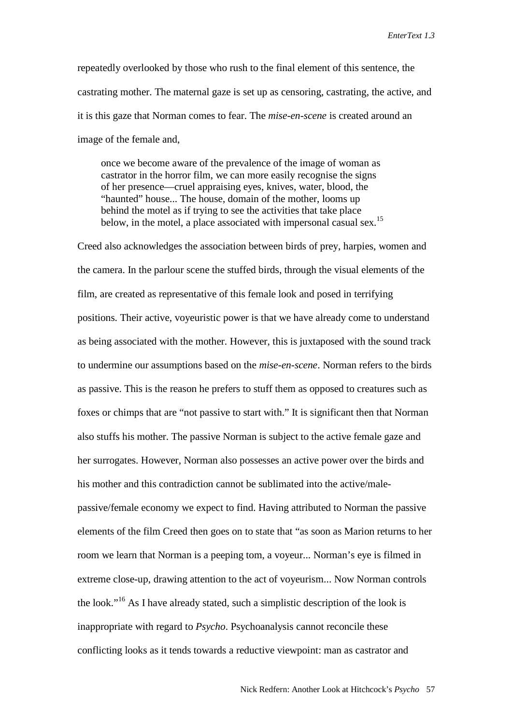repeatedly overlooked by those who rush to the final element of this sentence, the castrating mother. The maternal gaze is set up as censoring, castrating, the active, and it is this gaze that Norman comes to fear. The *mise-en-scene* is created around an image of the female and,

once we become aware of the prevalence of the image of woman as castrator in the horror film, we can more easily recognise the signs of her presence—cruel appraising eyes, knives, water, blood, the "haunted" house... The house, domain of the mother, looms up behind the motel as if trying to see the activities that take place below, in the motel, a place associated with impersonal casual sex.<sup>15</sup>

Creed also acknowledges the association between birds of prey, harpies, women and the camera. In the parlour scene the stuffed birds, through the visual elements of the film, are created as representative of this female look and posed in terrifying positions. Their active, voyeuristic power is that we have already come to understand as being associated with the mother. However, this is juxtaposed with the sound track to undermine our assumptions based on the *mise-en-scene*. Norman refers to the birds as passive. This is the reason he prefers to stuff them as opposed to creatures such as foxes or chimps that are "not passive to start with." It is significant then that Norman also stuffs his mother. The passive Norman is subject to the active female gaze and her surrogates. However, Norman also possesses an active power over the birds and his mother and this contradiction cannot be sublimated into the active/malepassive/female economy we expect to find. Having attributed to Norman the passive elements of the film Creed then goes on to state that "as soon as Marion returns to her room we learn that Norman is a peeping tom, a voyeur... Norman's eye is filmed in extreme close-up, drawing attention to the act of voyeurism... Now Norman controls the look."16 As I have already stated, such a simplistic description of the look is inappropriate with regard to *Psycho*. Psychoanalysis cannot reconcile these conflicting looks as it tends towards a reductive viewpoint: man as castrator and

Nick Redfern: Another Look at Hitchcock's *Psycho* 57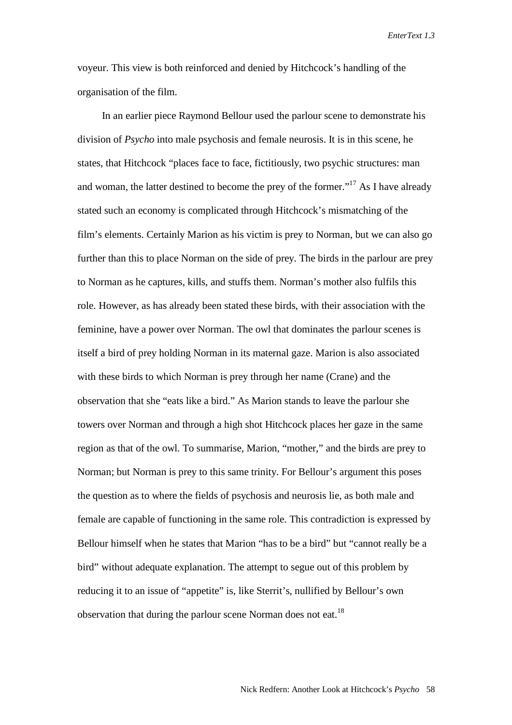voyeur. This view is both reinforced and denied by Hitchcock's handling of the organisation of the film.

In an earlier piece Raymond Bellour used the parlour scene to demonstrate his division of *Psycho* into male psychosis and female neurosis. It is in this scene, he states, that Hitchcock "places face to face, fictitiously, two psychic structures: man and woman, the latter destined to become the prey of the former."<sup>17</sup> As I have already stated such an economy is complicated through Hitchcock's mismatching of the film's elements. Certainly Marion as his victim is prey to Norman, but we can also go further than this to place Norman on the side of prey. The birds in the parlour are prey to Norman as he captures, kills, and stuffs them. Norman's mother also fulfils this role. However, as has already been stated these birds, with their association with the feminine, have a power over Norman. The owl that dominates the parlour scenes is itself a bird of prey holding Norman in its maternal gaze. Marion is also associated with these birds to which Norman is prey through her name (Crane) and the observation that she "eats like a bird." As Marion stands to leave the parlour she towers over Norman and through a high shot Hitchcock places her gaze in the same region as that of the owl. To summarise, Marion, "mother," and the birds are prey to Norman; but Norman is prey to this same trinity. For Bellour's argument this poses the question as to where the fields of psychosis and neurosis lie, as both male and female are capable of functioning in the same role. This contradiction is expressed by Bellour himself when he states that Marion "has to be a bird" but "cannot really be a bird" without adequate explanation. The attempt to segue out of this problem by reducing it to an issue of "appetite" is, like Sterrit's, nullified by Bellour's own observation that during the parlour scene Norman does not eat.<sup>18</sup>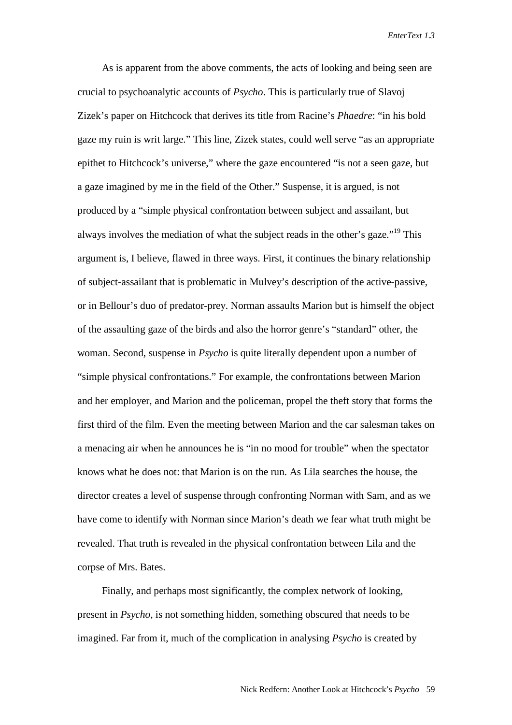As is apparent from the above comments, the acts of looking and being seen are crucial to psychoanalytic accounts of *Psycho*. This is particularly true of Slavoj Zizek's paper on Hitchcock that derives its title from Racine's *Phaedre*: "in his bold gaze my ruin is writ large." This line, Zizek states, could well serve "as an appropriate epithet to Hitchcock's universe," where the gaze encountered "is not a seen gaze, but a gaze imagined by me in the field of the Other." Suspense, it is argued, is not produced by a "simple physical confrontation between subject and assailant, but always involves the mediation of what the subject reads in the other's gaze."<sup>19</sup> This argument is, I believe, flawed in three ways. First, it continues the binary relationship of subject-assailant that is problematic in Mulvey's description of the active-passive, or in Bellour's duo of predator-prey. Norman assaults Marion but is himself the object of the assaulting gaze of the birds and also the horror genre's "standard" other, the woman. Second, suspense in *Psycho* is quite literally dependent upon a number of "simple physical confrontations." For example, the confrontations between Marion and her employer, and Marion and the policeman, propel the theft story that forms the first third of the film. Even the meeting between Marion and the car salesman takes on a menacing air when he announces he is "in no mood for trouble" when the spectator knows what he does not: that Marion is on the run. As Lila searches the house, the director creates a level of suspense through confronting Norman with Sam, and as we have come to identify with Norman since Marion's death we fear what truth might be revealed. That truth is revealed in the physical confrontation between Lila and the corpse of Mrs. Bates.

Finally, and perhaps most significantly, the complex network of looking, present in *Psycho,* is not something hidden, something obscured that needs to be imagined. Far from it, much of the complication in analysing *Psycho* is created by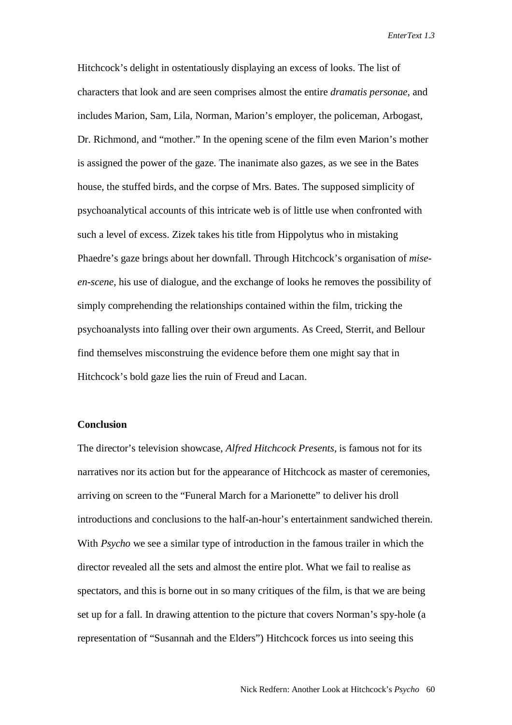Hitchcock's delight in ostentatiously displaying an excess of looks. The list of characters that look and are seen comprises almost the entire *dramatis personae*, and includes Marion, Sam, Lila, Norman, Marion's employer, the policeman, Arbogast, Dr. Richmond, and "mother." In the opening scene of the film even Marion's mother is assigned the power of the gaze. The inanimate also gazes, as we see in the Bates house, the stuffed birds, and the corpse of Mrs. Bates. The supposed simplicity of psychoanalytical accounts of this intricate web is of little use when confronted with such a level of excess. Zizek takes his title from Hippolytus who in mistaking Phaedre's gaze brings about her downfall. Through Hitchcock's organisation of *miseen-scene*, his use of dialogue, and the exchange of looks he removes the possibility of simply comprehending the relationships contained within the film, tricking the psychoanalysts into falling over their own arguments. As Creed, Sterrit, and Bellour find themselves misconstruing the evidence before them one might say that in Hitchcock's bold gaze lies the ruin of Freud and Lacan.

## **Conclusion**

The director's television showcase, *Alfred Hitchcock Presents*, is famous not for its narratives nor its action but for the appearance of Hitchcock as master of ceremonies, arriving on screen to the "Funeral March for a Marionette" to deliver his droll introductions and conclusions to the half-an-hour's entertainment sandwiched therein. With *Psycho* we see a similar type of introduction in the famous trailer in which the director revealed all the sets and almost the entire plot. What we fail to realise as spectators, and this is borne out in so many critiques of the film, is that we are being set up for a fall. In drawing attention to the picture that covers Norman's spy-hole (a representation of "Susannah and the Elders") Hitchcock forces us into seeing this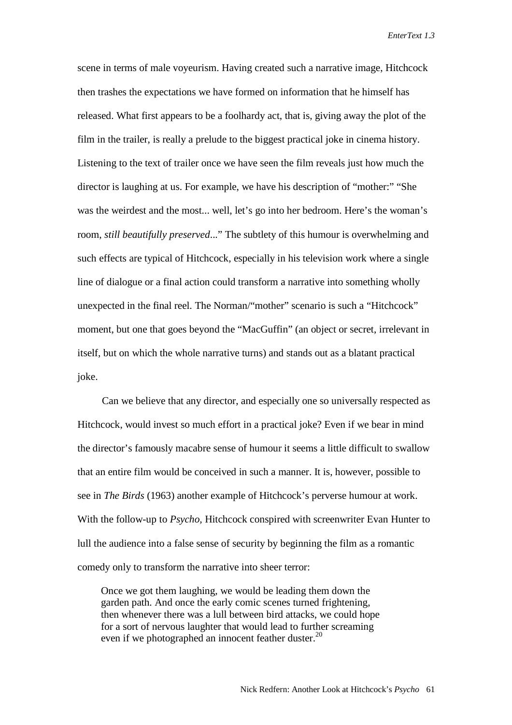scene in terms of male voyeurism. Having created such a narrative image, Hitchcock then trashes the expectations we have formed on information that he himself has released. What first appears to be a foolhardy act, that is, giving away the plot of the film in the trailer, is really a prelude to the biggest practical joke in cinema history. Listening to the text of trailer once we have seen the film reveals just how much the director is laughing at us. For example, we have his description of "mother:" "She was the weirdest and the most... well, let's go into her bedroom. Here's the woman's room, *still beautifully preserved*..." The subtlety of this humour is overwhelming and such effects are typical of Hitchcock, especially in his television work where a single line of dialogue or a final action could transform a narrative into something wholly unexpected in the final reel. The Norman/"mother" scenario is such a "Hitchcock" moment, but one that goes beyond the "MacGuffin" (an object or secret, irrelevant in itself, but on which the whole narrative turns) and stands out as a blatant practical joke.

Can we believe that any director, and especially one so universally respected as Hitchcock, would invest so much effort in a practical joke? Even if we bear in mind the director's famously macabre sense of humour it seems a little difficult to swallow that an entire film would be conceived in such a manner. It is, however, possible to see in *The Birds* (1963) another example of Hitchcock's perverse humour at work. With the follow-up to *Psycho,* Hitchcock conspired with screenwriter Evan Hunter to lull the audience into a false sense of security by beginning the film as a romantic comedy only to transform the narrative into sheer terror:

Once we got them laughing, we would be leading them down the garden path. And once the early comic scenes turned frightening, then whenever there was a lull between bird attacks, we could hope for a sort of nervous laughter that would lead to further screaming even if we photographed an innocent feather duster.<sup>20</sup>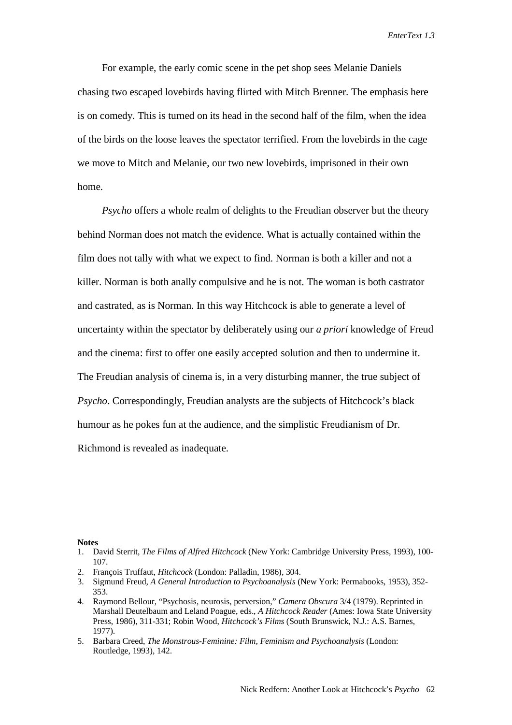For example, the early comic scene in the pet shop sees Melanie Daniels chasing two escaped lovebirds having flirted with Mitch Brenner. The emphasis here is on comedy. This is turned on its head in the second half of the film, when the idea of the birds on the loose leaves the spectator terrified. From the lovebirds in the cage we move to Mitch and Melanie, our two new lovebirds, imprisoned in their own home.

*Psycho* offers a whole realm of delights to the Freudian observer but the theory behind Norman does not match the evidence. What is actually contained within the film does not tally with what we expect to find. Norman is both a killer and not a killer. Norman is both anally compulsive and he is not. The woman is both castrator and castrated, as is Norman. In this way Hitchcock is able to generate a level of uncertainty within the spectator by deliberately using our *a priori* knowledge of Freud and the cinema: first to offer one easily accepted solution and then to undermine it. The Freudian analysis of cinema is, in a very disturbing manner, the true subject of *Psycho*. Correspondingly, Freudian analysts are the subjects of Hitchcock's black humour as he pokes fun at the audience, and the simplistic Freudianism of Dr. Richmond is revealed as inadequate.

**Notes**

- 2. François Truffaut, *Hitchcock* (London: Palladin, 1986), 304.
- 3. Sigmund Freud, *A General Introduction to Psychoanalysis* (New York: Permabooks, 1953), 352- 353.
- 4. Raymond Bellour, "Psychosis, neurosis, perversion," *Camera Obscura* 3/4 (1979). Reprinted in Marshall Deutelbaum and Leland Poague, eds., *A Hitchcock Reader* (Ames: Iowa State University Press, 1986), 311-331; Robin Wood, *Hitchcock's Films* (South Brunswick, N.J.: A.S. Barnes, 1977).
- 5. Barbara Creed, *The Monstrous-Feminine: Film, Feminism and Psychoanalysis* (London: Routledge, 1993), 142.

<sup>1.</sup> David Sterrit, *The Films of Alfred Hitchcock* (New York: Cambridge University Press, 1993), 100- 107.